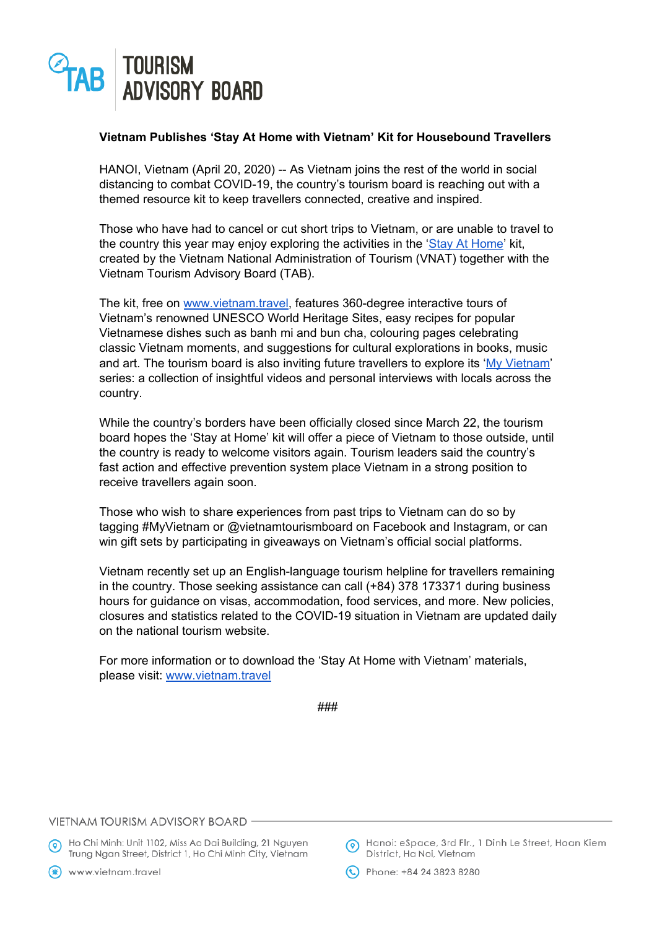

## **Vietnam Publishes 'Stay At Home with Vietnam' Kit for Housebound Travellers**

HANOI, Vietnam (April 20, 2020) -- As Vietnam joins the rest of the world in social distancing to combat COVID-19, the country's tourism board is reaching out with a themed resource kit to keep travellers connected, creative and inspired.

Those who have had to cancel or cut short trips to Vietnam, or are unable to travel to the country this year may enjoy exploring the activities in the 'Stay At [Home'](https://vietnam.travel/things-to-do/stay-at-home) kit, created by the Vietnam National Administration of Tourism (VNAT) together with the Vietnam Tourism Advisory Board (TAB).

The kit, free on [www.vietnam.travel,](http://www.vietnam.travel/) features 360-degree interactive tours of Vietnam's renowned UNESCO World Heritage Sites, easy recipes for popular Vietnamese dishes such as banh mi and bun cha, colouring pages celebrating classic Vietnam moments, and suggestions for cultural explorations in books, music and art. The tourism board is also inviting future travellers to explore its 'My [Vietnam](https://vietnam.travel/myvietnam)' series: a collection of insightful videos and personal interviews with locals across the country.

While the country's borders have been officially closed since March 22, the tourism board hopes the 'Stay at Home' kit will offer a piece of Vietnam to those outside, until the country is ready to welcome visitors again. Tourism leaders said the country's fast action and effective prevention system place Vietnam in a strong position to receive travellers again soon.

Those who wish to share experiences from past trips to Vietnam can do so by tagging #MyVietnam or @vietnamtourismboard on Facebook and Instagram, or can win gift sets by participating in giveaways on Vietnam's official social platforms.

Vietnam recently set up an English-language tourism helpline for travellers remaining in the country. Those seeking assistance can call (+84) 378 173371 during business hours for guidance on visas, accommodation, food services, and more. New policies, closures and statistics related to the COVID-19 situation in Vietnam are updated daily on the national tourism website.

For more information or to download the 'Stay At Home with Vietnam' materials, please visit: [www.vietnam.travel](http://www.vietnam.travel/)

```
###
```
## VIETNAM TOURISM ADVISORY BOARD

A Ho Chi Minh: Unit 1102, Miss Ao Dai Building, 21 Nguyen Trung Ngan Street, District 1, Ho Chi Minh City, Vietnam

(\*) www.vietnam.travel

A Hanoi: eSpace, 3rd Flr., 1 Dinh Le Street, Hoan Kiem District, Ha Noi, Vietnam

C Phone: +84 24 3823 8280